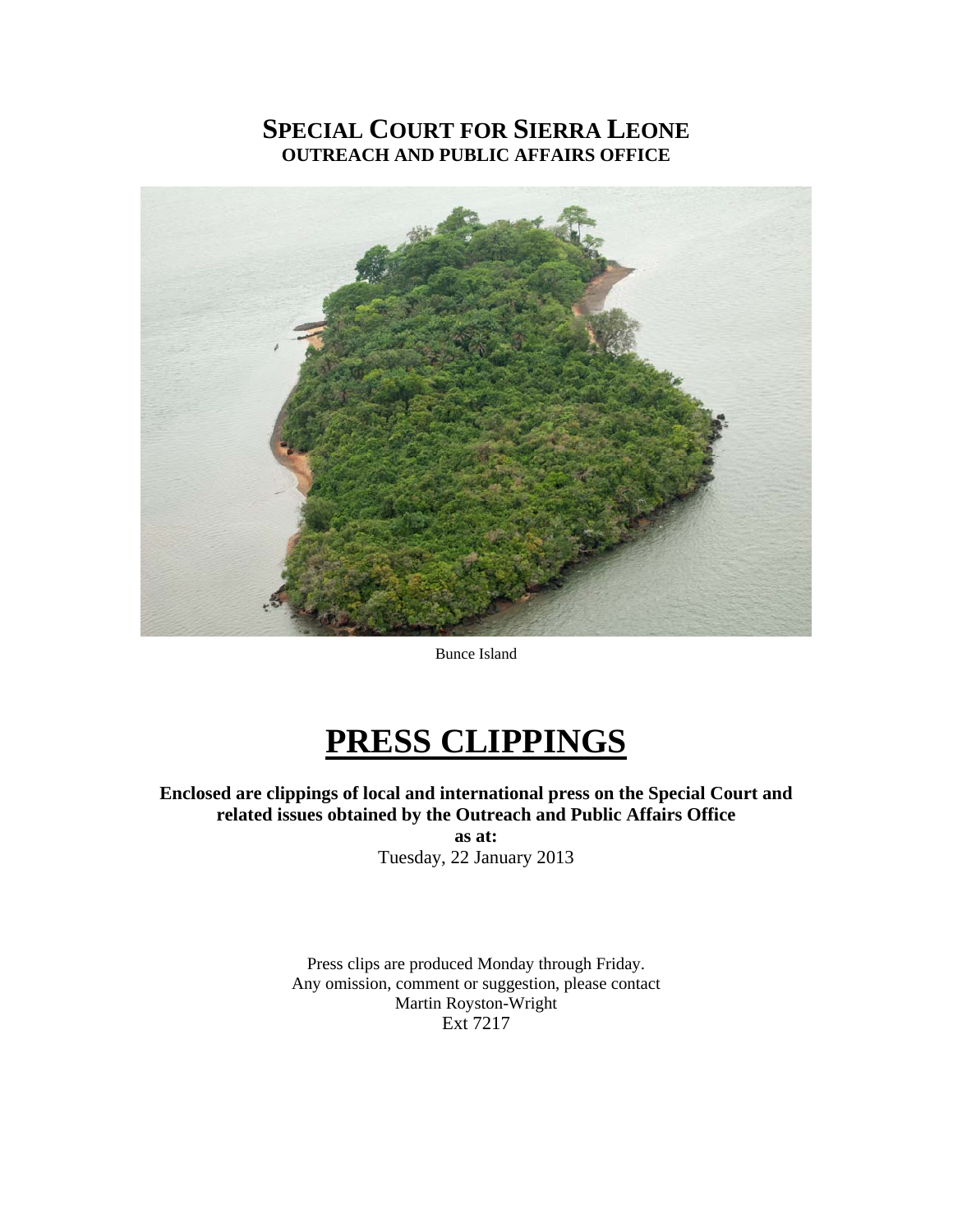## **SPECIAL COURT FOR SIERRA LEONE OUTREACH AND PUBLIC AFFAIRS OFFICE**



Bunce Island

# **PRESS CLIPPINGS**

**Enclosed are clippings of local and international press on the Special Court and related issues obtained by the Outreach and Public Affairs Office as at:** 

Tuesday, 22 January 2013

Press clips are produced Monday through Friday. Any omission, comment or suggestion, please contact Martin Royston-Wright Ext 7217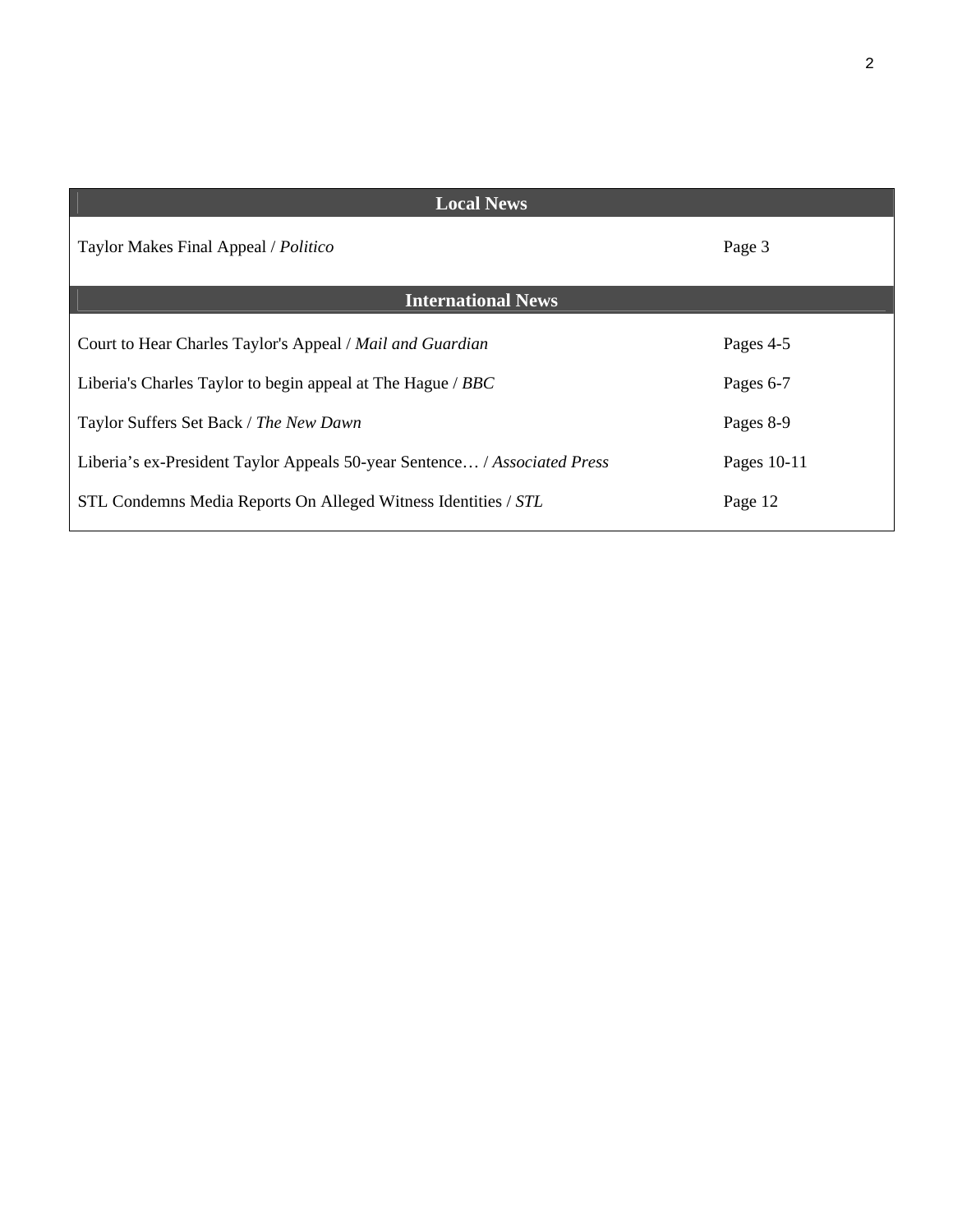| <b>Local News</b>                                                         |             |  |
|---------------------------------------------------------------------------|-------------|--|
| Taylor Makes Final Appeal / Politico                                      | Page 3      |  |
| <b>International News</b>                                                 |             |  |
| Court to Hear Charles Taylor's Appeal / Mail and Guardian                 | Pages 4-5   |  |
| Liberia's Charles Taylor to begin appeal at The Hague / BBC               | Pages 6-7   |  |
| Taylor Suffers Set Back / The New Dawn                                    | Pages 8-9   |  |
| Liberia's ex-President Taylor Appeals 50-year Sentence / Associated Press | Pages 10-11 |  |
| STL Condemns Media Reports On Alleged Witness Identities / STL            | Page 12     |  |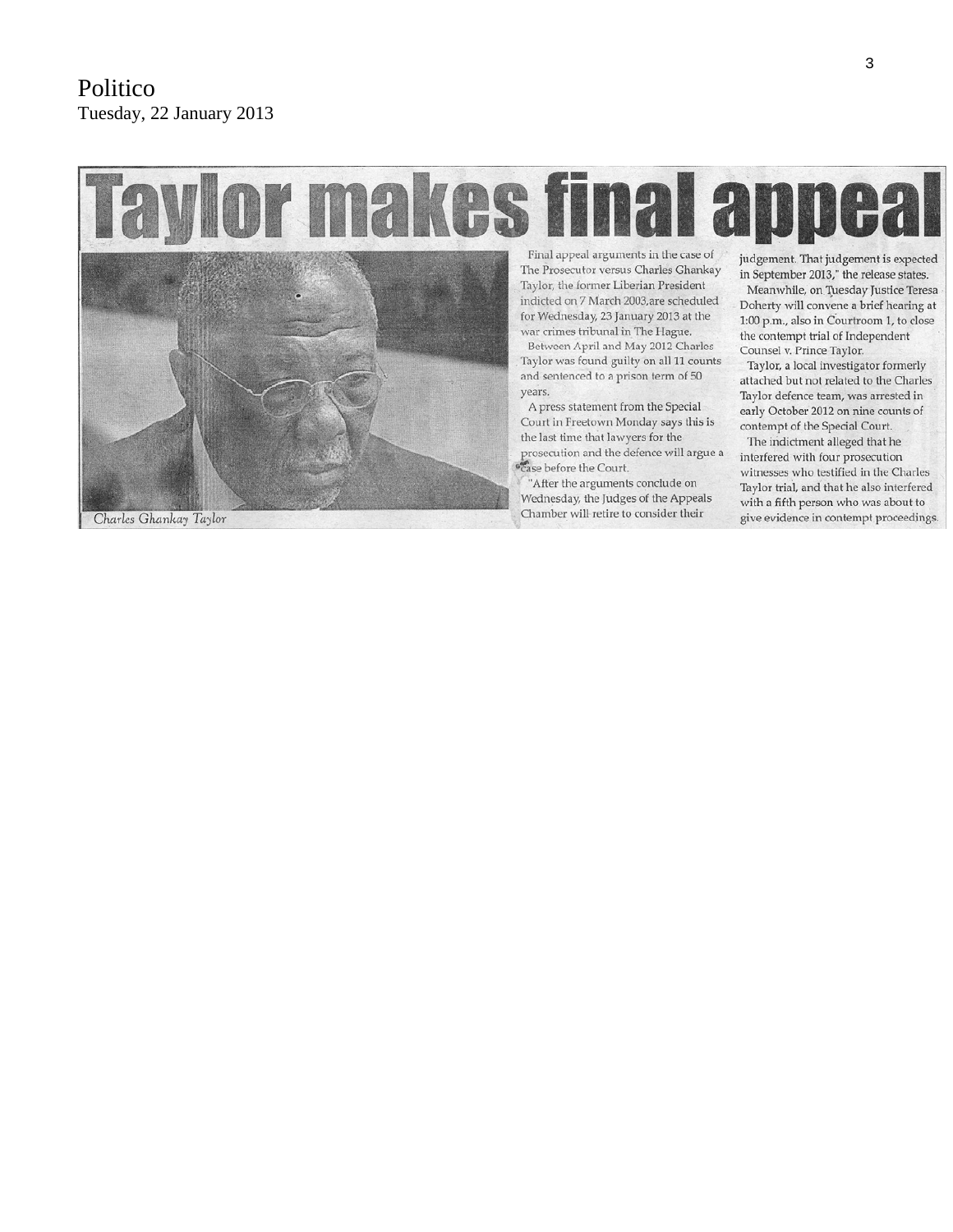# makes final ap



Final appeal arguments in the case of The Prosecutor versus Charles Ghankay Taylor, the former Liberian President indicted on 7 March 2003, are scheduled for Wednesday, 23 January 2013 at the war crimes tribunal in The Hague.

Between April and May 2012 Charles Taylor was found guilty on all 11 counts and sentenced to a prison term of 50 years.

A press statement from the Special Court in Freetown Monday says this is the last time that lawyers for the prosecution and the defence will argue a <sup>o</sup>case before the Court.

"After the arguments conclude on Wednesday, the Judges of the Appeals Chamber will retire to consider their

judgement. That judgement is expected in September 2013," the release states.

Meanwhile, on Tuesday Justice Teresa Doherty will convene a brief hearing at 1:00 p.m., also in Courtroom 1, to close the contempt trial of Independent Counsel v. Prince Taylor.

Taylor, a local investigator formerly attached but not related to the Charles Taylor defence team, was arrested in early October 2012 on nine counts of contempt of the Special Court.

The indictment alleged that he interfered with four prosecution witnesses who testified in the Charles Taylor trial, and that he also interfered with a fifth person who was about to give evidence in contempt proceedings.

Charles Ghankay Taylor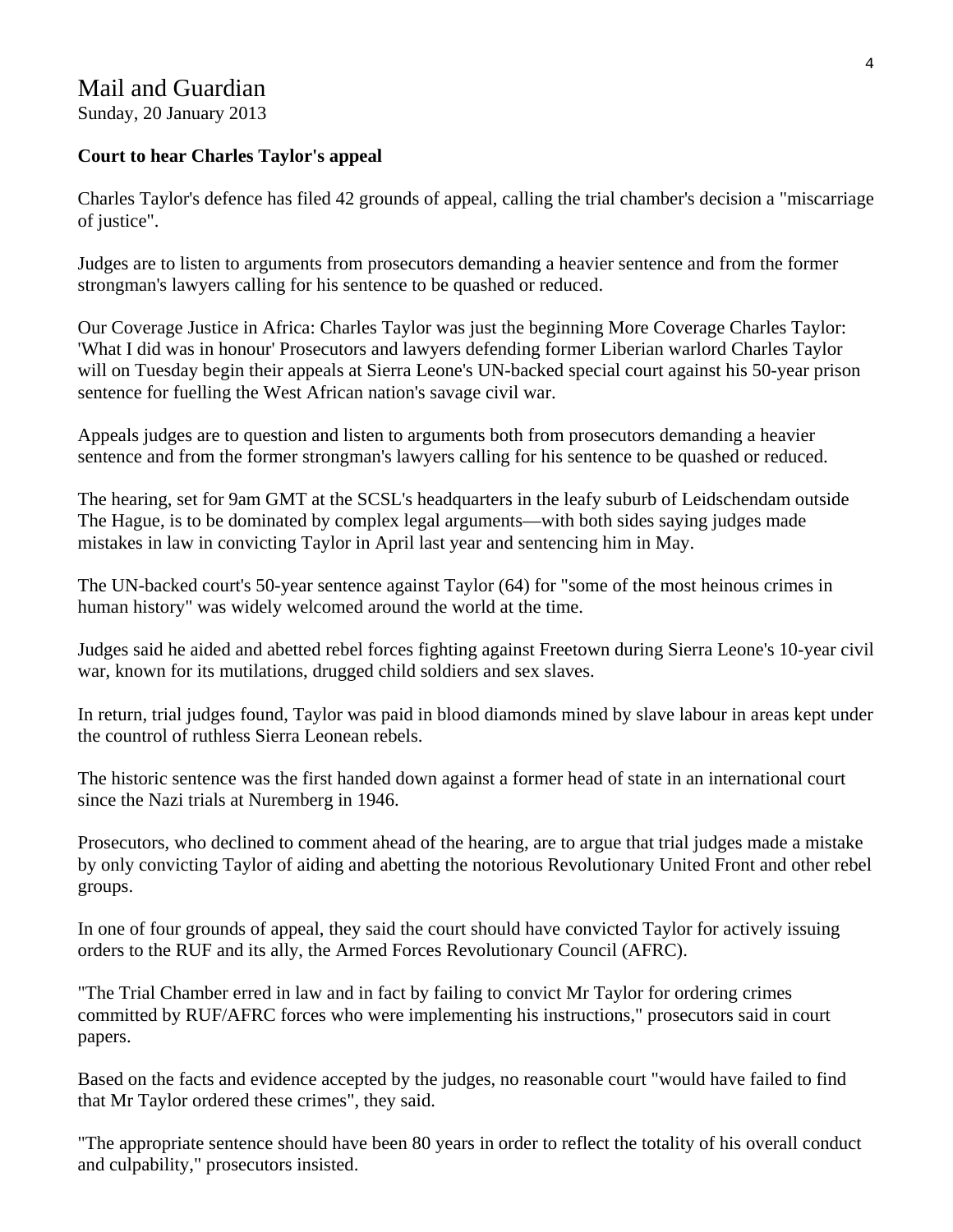#### Mail and Guardian Sunday, 20 January 2013

#### **Court to hear Charles Taylor's appeal**

Charles Taylor's defence has filed 42 grounds of appeal, calling the trial chamber's decision a "miscarriage of justice".

Judges are to listen to arguments from prosecutors demanding a heavier sentence and from the former strongman's lawyers calling for his sentence to be quashed or reduced.

Our Coverage Justice in Africa: Charles Taylor was just the beginning More Coverage Charles Taylor: 'What I did was in honour' Prosecutors and lawyers defending former Liberian warlord Charles Taylor will on Tuesday begin their appeals at Sierra Leone's UN-backed special court against his 50-year prison sentence for fuelling the West African nation's savage civil war.

Appeals judges are to question and listen to arguments both from prosecutors demanding a heavier sentence and from the former strongman's lawyers calling for his sentence to be quashed or reduced.

The hearing, set for 9am GMT at the SCSL's headquarters in the leafy suburb of Leidschendam outside The Hague, is to be dominated by complex legal arguments—with both sides saying judges made mistakes in law in convicting Taylor in April last year and sentencing him in May.

The UN-backed court's 50-year sentence against Taylor (64) for "some of the most heinous crimes in human history" was widely welcomed around the world at the time.

Judges said he aided and abetted rebel forces fighting against Freetown during Sierra Leone's 10-year civil war, known for its mutilations, drugged child soldiers and sex slaves.

In return, trial judges found, Taylor was paid in blood diamonds mined by slave labour in areas kept under the countrol of ruthless Sierra Leonean rebels.

The historic sentence was the first handed down against a former head of state in an international court since the Nazi trials at Nuremberg in 1946.

Prosecutors, who declined to comment ahead of the hearing, are to argue that trial judges made a mistake by only convicting Taylor of aiding and abetting the notorious Revolutionary United Front and other rebel groups.

In one of four grounds of appeal, they said the court should have convicted Taylor for actively issuing orders to the RUF and its ally, the Armed Forces Revolutionary Council (AFRC).

"The Trial Chamber erred in law and in fact by failing to convict Mr Taylor for ordering crimes committed by RUF/AFRC forces who were implementing his instructions," prosecutors said in court papers.

Based on the facts and evidence accepted by the judges, no reasonable court "would have failed to find that Mr Taylor ordered these crimes", they said.

"The appropriate sentence should have been 80 years in order to reflect the totality of his overall conduct and culpability," prosecutors insisted.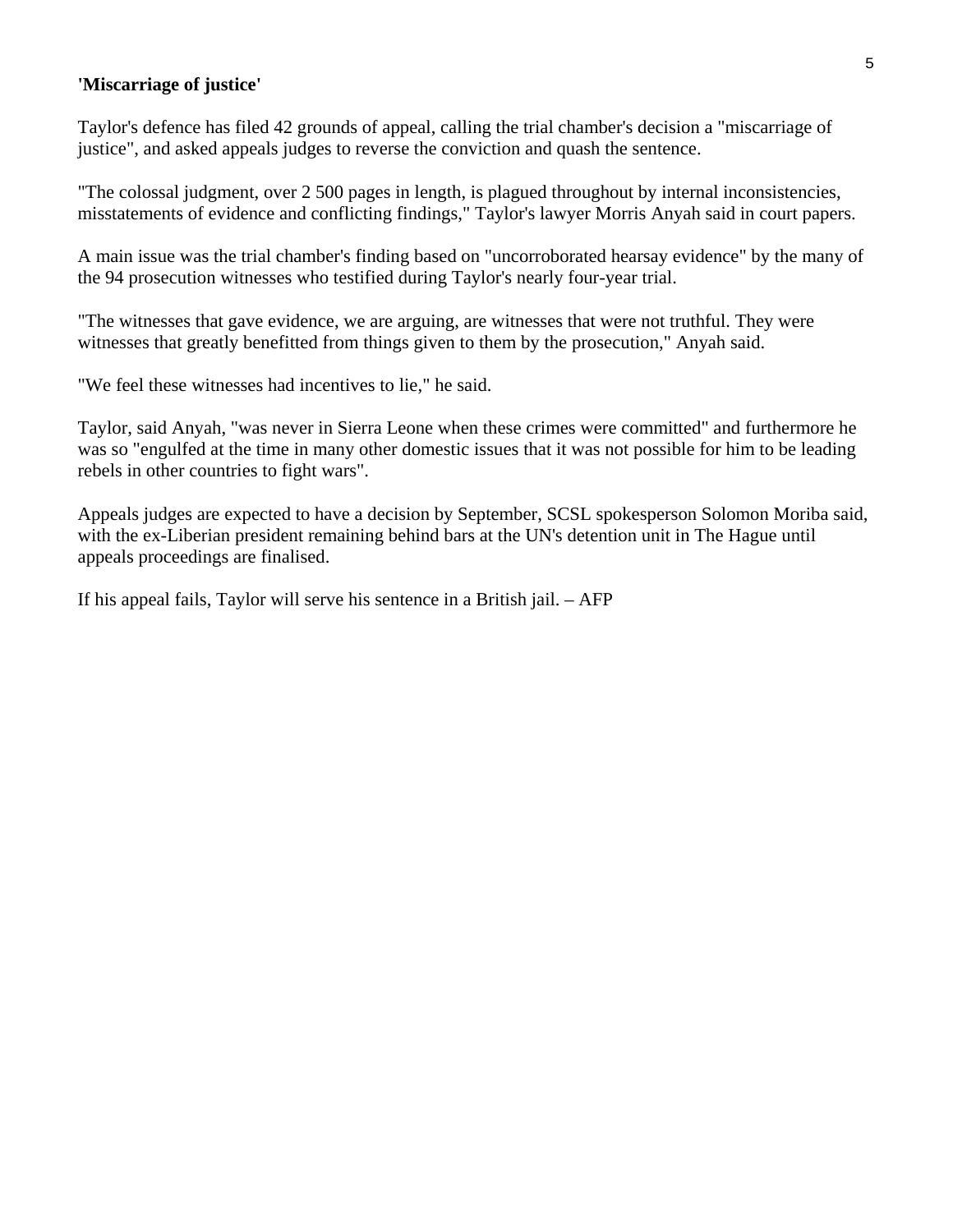#### **'Miscarriage of justice'**

Taylor's defence has filed 42 grounds of appeal, calling the trial chamber's decision a "miscarriage of justice", and asked appeals judges to reverse the conviction and quash the sentence.

"The colossal judgment, over 2 500 pages in length, is plagued throughout by internal inconsistencies, misstatements of evidence and conflicting findings," Taylor's lawyer Morris Anyah said in court papers.

A main issue was the trial chamber's finding based on "uncorroborated hearsay evidence" by the many of the 94 prosecution witnesses who testified during Taylor's nearly four-year trial.

"The witnesses that gave evidence, we are arguing, are witnesses that were not truthful. They were witnesses that greatly benefitted from things given to them by the prosecution," Anyah said.

"We feel these witnesses had incentives to lie," he said.

Taylor, said Anyah, "was never in Sierra Leone when these crimes were committed" and furthermore he was so "engulfed at the time in many other domestic issues that it was not possible for him to be leading rebels in other countries to fight wars".

Appeals judges are expected to have a decision by September, SCSL spokesperson Solomon Moriba said, with the ex-Liberian president remaining behind bars at the UN's detention unit in The Hague until appeals proceedings are finalised.

If his appeal fails, Taylor will serve his sentence in a British jail. – AFP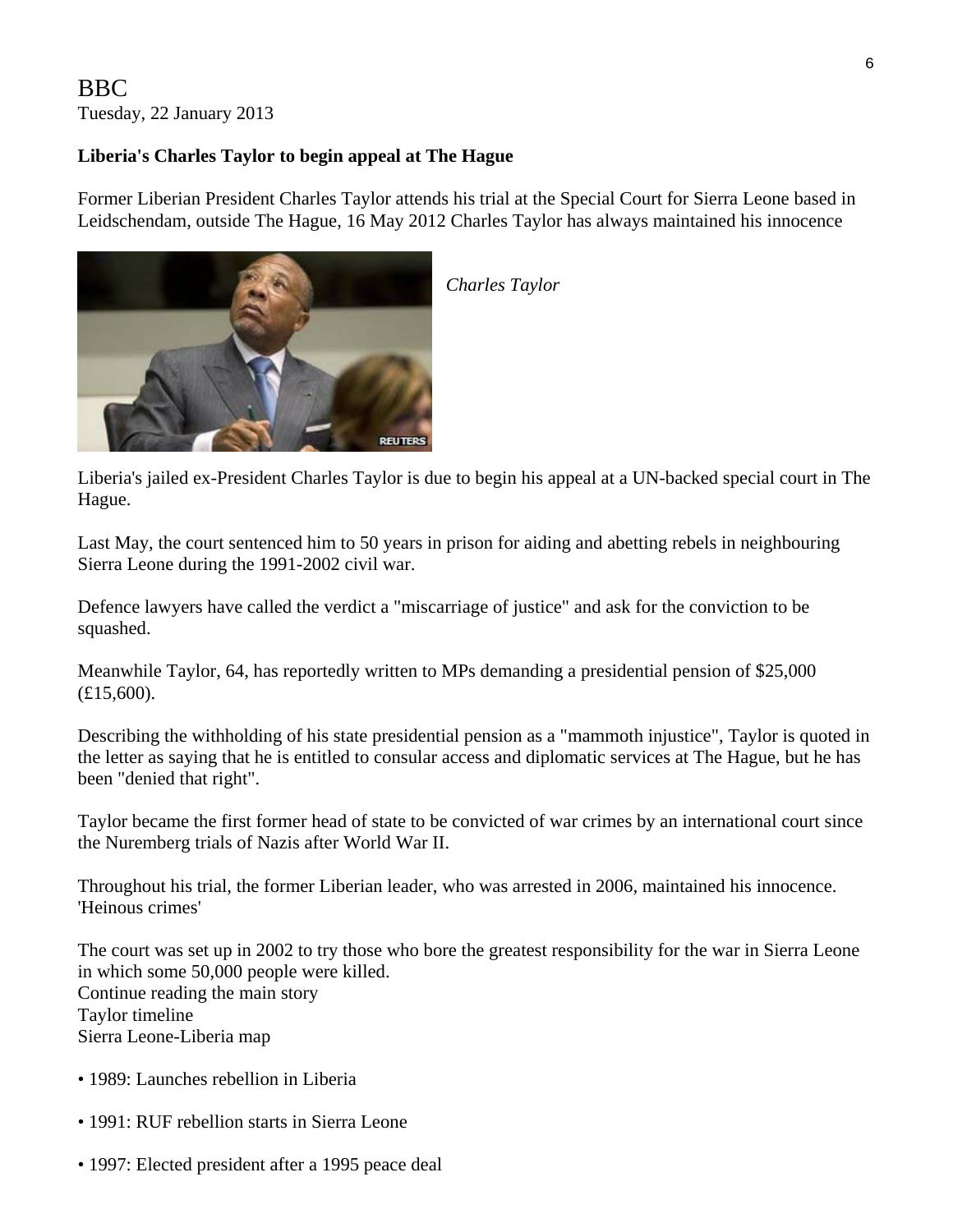#### BBC Tuesday, 22 January 2013

#### **Liberia's Charles Taylor to begin appeal at The Hague**

Former Liberian President Charles Taylor attends his trial at the Special Court for Sierra Leone based in Leidschendam, outside The Hague, 16 May 2012 Charles Taylor has always maintained his innocence



*Charles Taylor* 

Liberia's jailed ex-President Charles Taylor is due to begin his appeal at a UN-backed special court in The Hague.

Last May, the court sentenced him to 50 years in prison for aiding and abetting rebels in neighbouring Sierra Leone during the 1991-2002 civil war.

Defence lawyers have called the verdict a "miscarriage of justice" and ask for the conviction to be squashed.

Meanwhile Taylor, 64, has reportedly written to MPs demanding a presidential pension of \$25,000 (£15,600).

Describing the withholding of his state presidential pension as a "mammoth injustice", Taylor is quoted in the letter as saying that he is entitled to consular access and diplomatic services at The Hague, but he has been "denied that right".

Taylor became the first former head of state to be convicted of war crimes by an international court since the Nuremberg trials of Nazis after World War II.

Throughout his trial, the former Liberian leader, who was arrested in 2006, maintained his innocence. 'Heinous crimes'

The court was set up in 2002 to try those who bore the greatest responsibility for the war in Sierra Leone in which some 50,000 people were killed. Continue reading the main story Taylor timeline Sierra Leone-Liberia map

- 1989: Launches rebellion in Liberia
- 1991: RUF rebellion starts in Sierra Leone
- 1997: Elected president after a 1995 peace deal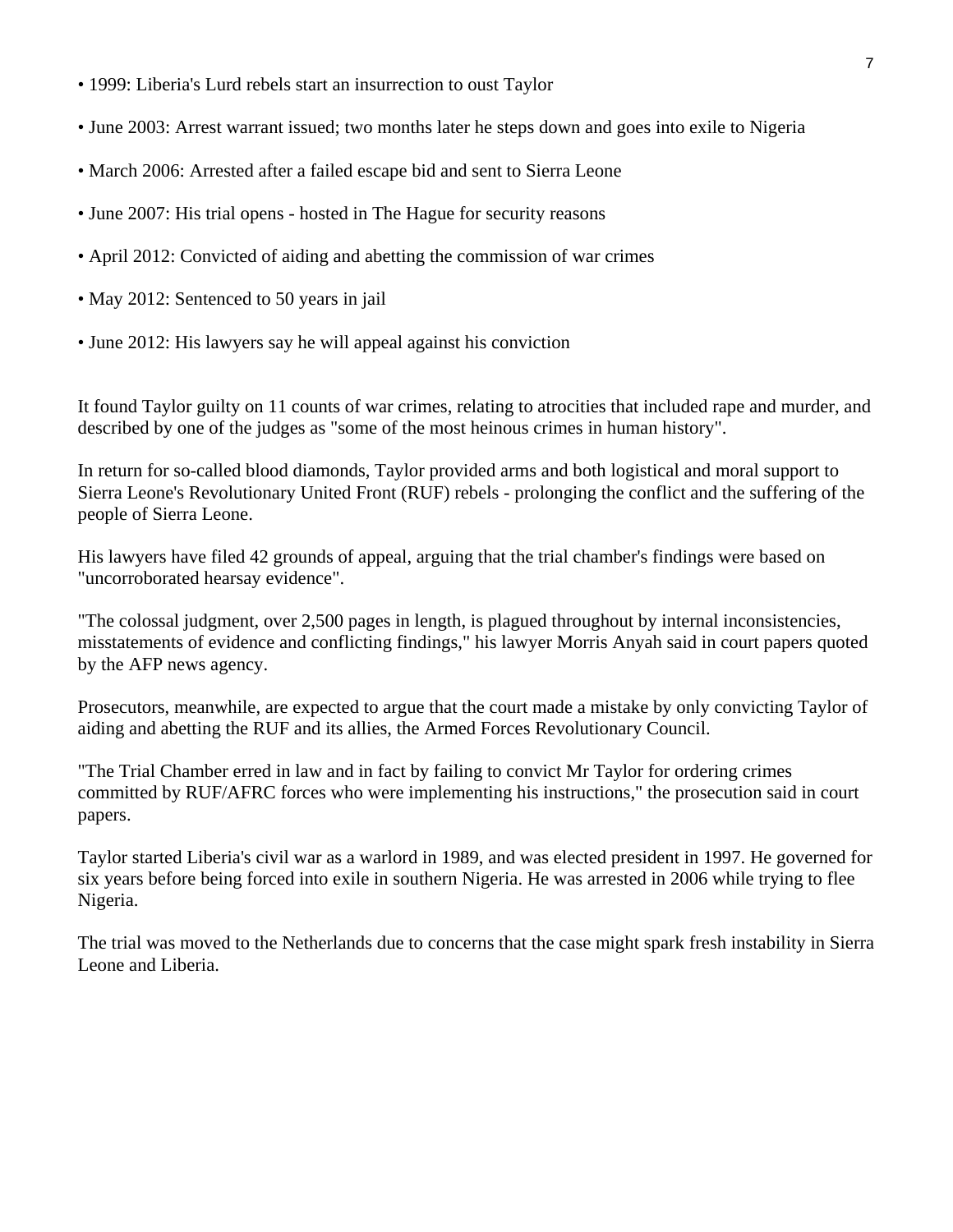- 1999: Liberia's Lurd rebels start an insurrection to oust Taylor
- June 2003: Arrest warrant issued; two months later he steps down and goes into exile to Nigeria
- March 2006: Arrested after a failed escape bid and sent to Sierra Leone
- June 2007: His trial opens hosted in The Hague for security reasons
- April 2012: Convicted of aiding and abetting the commission of war crimes
- May 2012: Sentenced to 50 years in jail
- June 2012: His lawyers say he will appeal against his conviction

It found Taylor guilty on 11 counts of war crimes, relating to atrocities that included rape and murder, and described by one of the judges as "some of the most heinous crimes in human history".

In return for so-called blood diamonds, Taylor provided arms and both logistical and moral support to Sierra Leone's Revolutionary United Front (RUF) rebels - prolonging the conflict and the suffering of the people of Sierra Leone.

His lawyers have filed 42 grounds of appeal, arguing that the trial chamber's findings were based on "uncorroborated hearsay evidence".

"The colossal judgment, over 2,500 pages in length, is plagued throughout by internal inconsistencies, misstatements of evidence and conflicting findings," his lawyer Morris Anyah said in court papers quoted by the AFP news agency.

Prosecutors, meanwhile, are expected to argue that the court made a mistake by only convicting Taylor of aiding and abetting the RUF and its allies, the Armed Forces Revolutionary Council.

"The Trial Chamber erred in law and in fact by failing to convict Mr Taylor for ordering crimes committed by RUF/AFRC forces who were implementing his instructions," the prosecution said in court papers.

Taylor started Liberia's civil war as a warlord in 1989, and was elected president in 1997. He governed for six years before being forced into exile in southern Nigeria. He was arrested in 2006 while trying to flee Nigeria.

The trial was moved to the Netherlands due to concerns that the case might spark fresh instability in Sierra Leone and Liberia.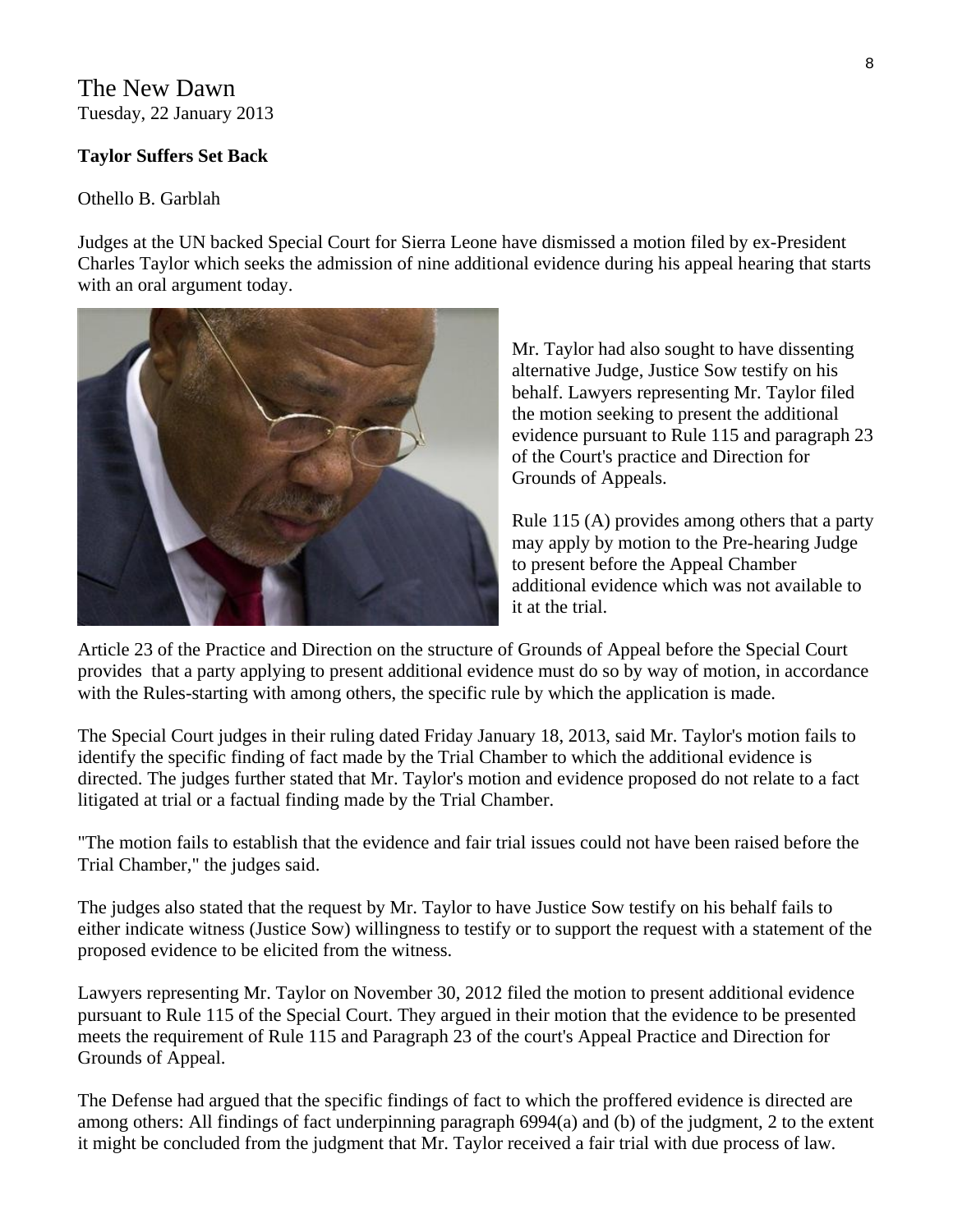#### The New Dawn Tuesday, 22 January 2013

#### **Taylor Suffers Set Back**

#### Othello B. Garblah

Judges at the UN backed Special Court for Sierra Leone have dismissed a motion filed by ex-President Charles Taylor which seeks the admission of nine additional evidence during his appeal hearing that starts with an oral argument today.



Mr. Taylor had also sought to have dissenting alternative Judge, Justice Sow testify on his behalf. Lawyers representing Mr. Taylor filed the motion seeking to present the additional evidence pursuant to Rule 115 and paragraph 2 3 of the Court's practice and Direction for Grounds of Appeals.

Rule 115 (A) provides among others that a party may apply by motion to the Pre-hearing Judge to present before the Appeal Chamber additional evidence which was not available to it at the trial.

Article 23 of the Practice and Direction on the structure of Grounds of Appeal before the Special Court provides that a party applying to present additional evidence must do so by way of motion, in accordance with the Rules-starting with among others, the specific rule by which the application is made.

The Special Court judges in their ruling dated Friday January 18, 2013, said Mr. Taylor's motion fails to identify the specific finding of fact made by the Trial Chamber to which the additional evidence is directed. The judges further stated that Mr. Taylor's motion and evidence proposed do not relate to a fact litigated at trial or a factual finding made by the Trial Chamber.

"The motion fails to establish that the evidence and fair trial issues could not have been raised before the Trial Chamber," the judges said.

The judges also stated that the request by Mr. Taylor to have Justice Sow testify on his behalf fails to either indicate witness (Justice Sow) willingness to testify or to support the request with a statement of the proposed evidence to be elicited from the witness.

Lawyers representing Mr. Taylor on November 30, 2012 filed the motion to present additional evidence pursuant to Rule 115 of the Special Court. They argued in their motion that the evidence to be presented meets the requirement of Rule 115 and Paragraph 23 of the court's Appeal Practice and Direction for Grounds of Appeal.

The Defense had argued that the specific findings of fact to which the proffered evidence is directed are among others: All findings of fact underpinning paragraph 6994(a) and (b) of the judgment, 2 to the extent it might be concluded from the judgment that Mr. Taylor received a fair trial with due process of law.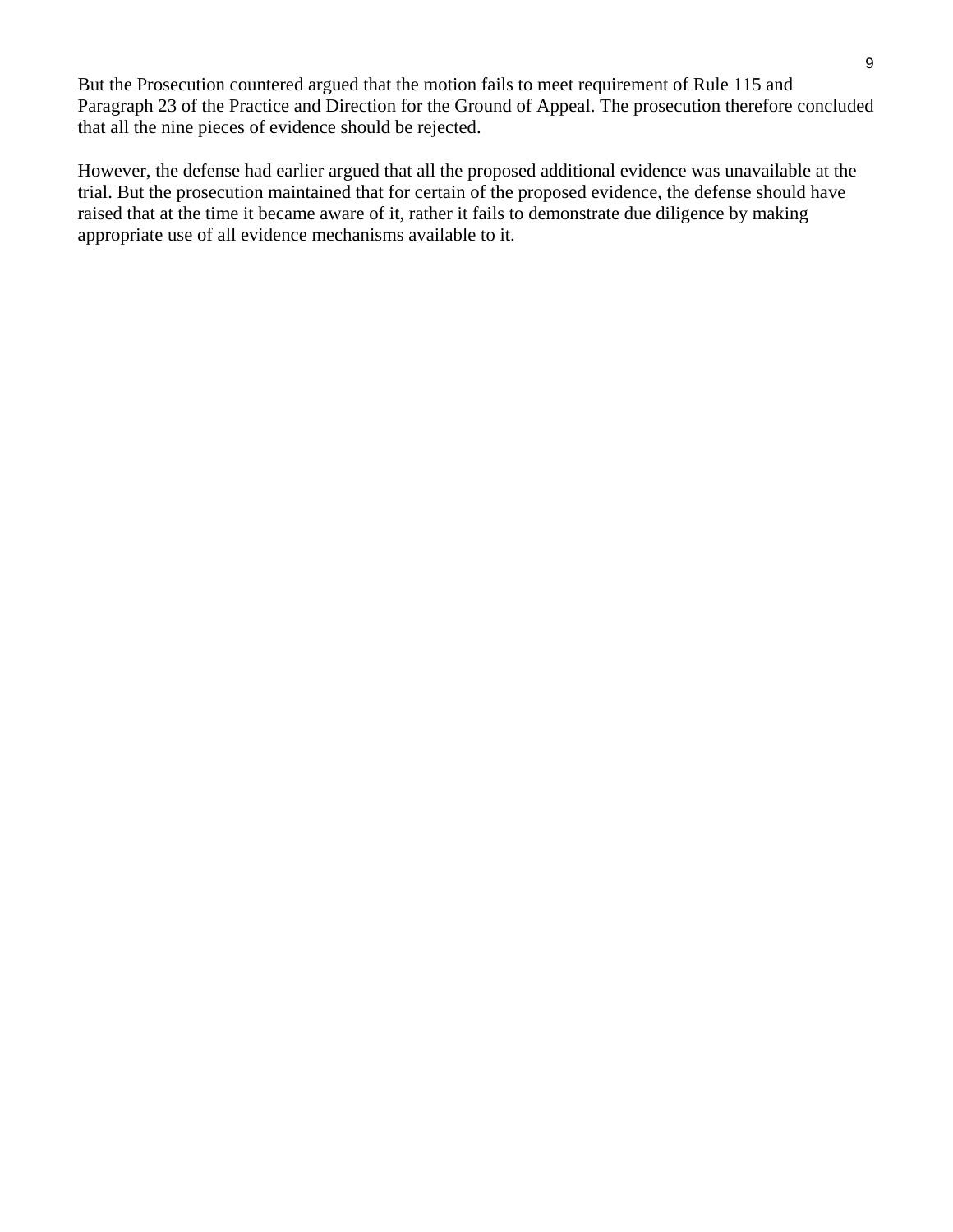But the Prosecution countered argued that the motion fails to meet requirement of Rule 115 and Paragraph 23 of the Practice and Direction for the Ground of Appeal. The prosecution therefore concluded that all the nine pieces of evidence should be rejected.

However, the defense had earlier argued that all the proposed additional evidence was unavailable at the trial. But the prosecution maintained that for certain of the proposed evidence, the defense should have raised that at the time it became aware of it, rather it fails to demonstrate due diligence by making appropriate use of all evidence mechanisms available to it.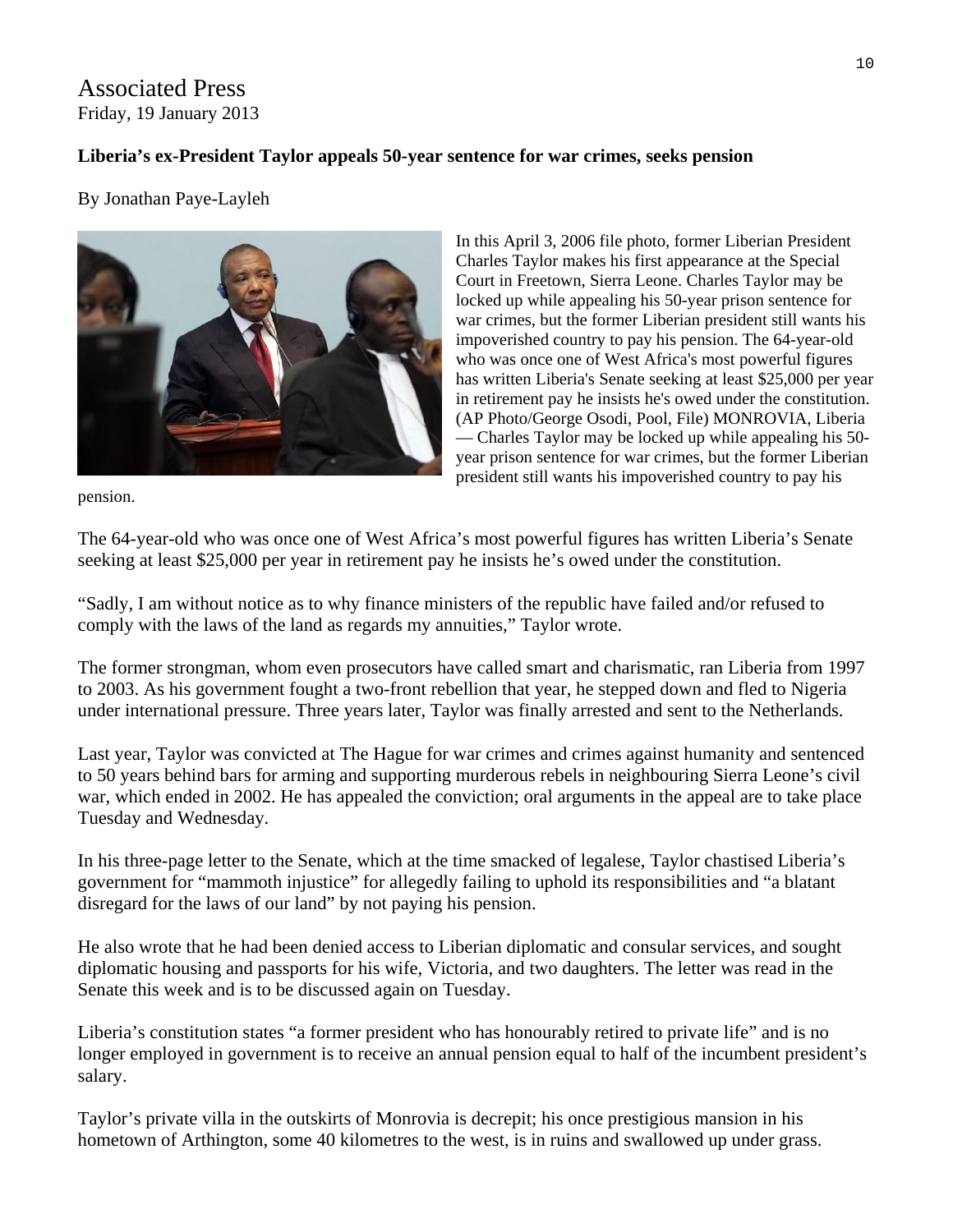#### Associated Press Friday, 19 January 2013

#### **Liberia's ex-President Taylor appeals 50-year sentence for war crimes, seeks pension**

By Jonathan Paye-Layleh



pension.

has written Liberia's Senate seeking at least \$25,000 per year in retirement pay he insists he's owed under the constitution. (AP Photo/George Osodi, Pool, File) MONROVIA, Liberia president still wants his impoverished country to pay his In this April 3, 2006 file photo, former Liberian President Charles Taylor makes his first appearance at the Special Court in Freetown, Sierra Leone. Charles Taylor may be locked up while appealing his 50-year prison sentence for war crimes, but the former Liberian president still wants his impoverished country to pay his pension. The 64-year-old who was once one of West Africa's most powerful figures — Charles Taylor may be locked up while appealing his 50 year prison sentence for war crimes, but the former Liberian

The 64-year-old who was once one of West Africa's most powerful figures has written Liberia's Senate seeking at least \$25,000 per year in retirement pay he insists he's owed under the constitution.

"Sadly, I am without notice as to why finance ministers of the republic have failed and/or refused to comply with the laws of the land as regards my annuities," Taylor wrote.

The former strongman, whom even prosecutors have called smart and charismatic, ran Liberia from 1997 to 2003. As his government fought a two-front rebellion that year, he stepped down and fled to Nigeria under international pressure. Three years later, Taylor was finally arrested and sent to the Netherlands.

Last year, Taylor was convicted at The Hague for war crimes and crimes against humanity and sentenced to 50 years behind bars for arming and supporting murderous rebels in neighbouring Sierra Leone's civil war, which ended in 2002. He has appealed the conviction; oral arguments in the appeal are to take place Tuesday and Wednesday.

In his three-page letter to the Senate, which at the time smacked of legalese, Taylor chastised Liberia's government for "mammoth injustice" for allegedly failing to uphold its responsibilities and "a blatant disregard for the laws of our land" by not paying his pension.

He also wrote that he had been denied access to Liberian diplomatic and consular services, and sought diplomatic housing and passports for his wife, Victoria, and two daughters. The letter was read in the Senate this week and is to be discussed again on Tuesday.

Liberia's constitution states "a former president who has honourably retired to private life" and is no longer employed in government is to receive an annual pension equal to half of the incumbent president's salary.

Taylor's private villa in the outskirts of Monrovia is decrepit; his once prestigious mansion in his hometown of Arthington, some 40 kilometres to the west, is in ruins and swallowed up under grass.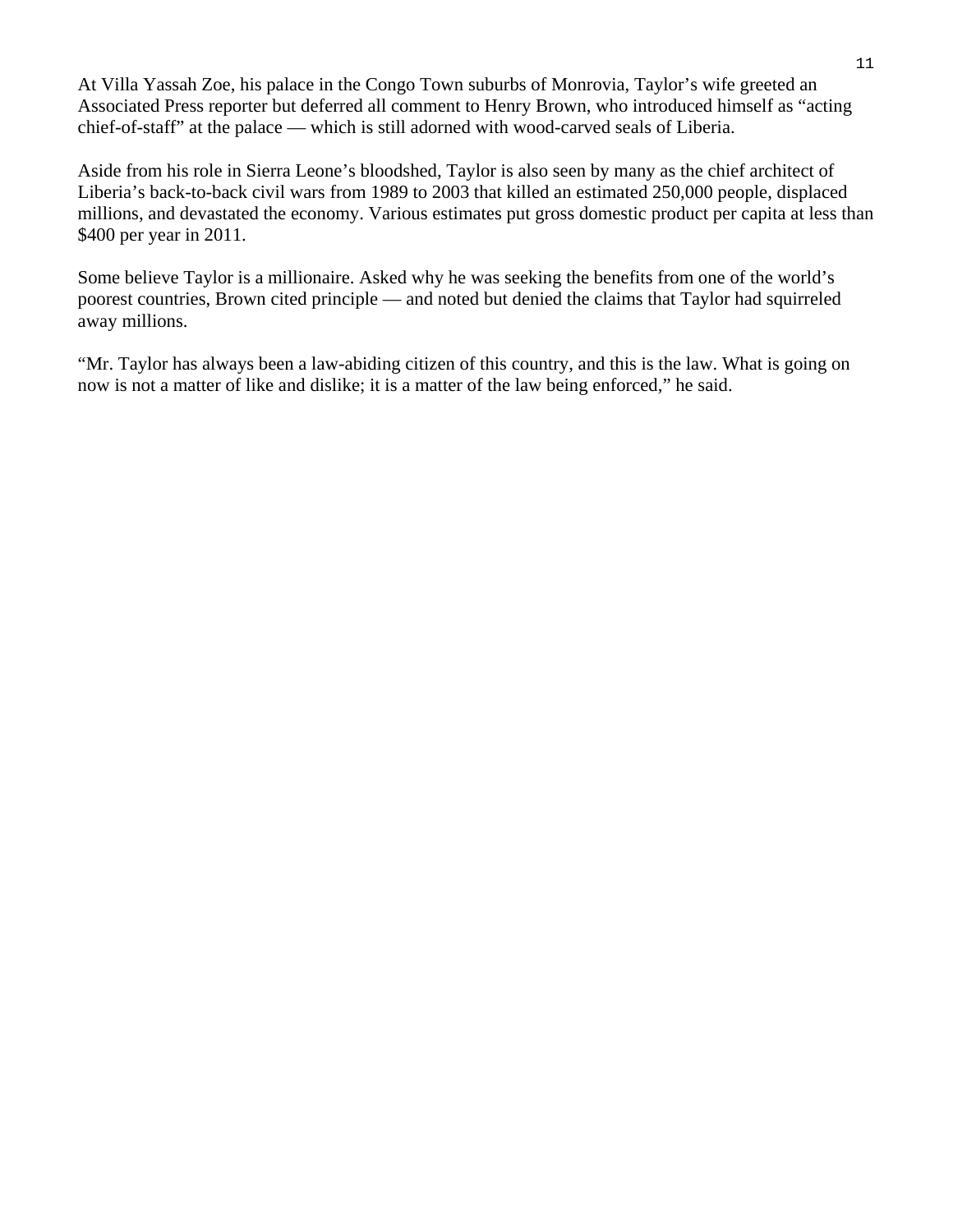At Villa Yassah Zoe, his palace in the Congo Town suburbs of Monrovia, Taylor's wife greeted an Associated Press reporter but deferred all comment to Henry Brown, who introduced himself as "acting chief-of-staff" at the palace — which is still adorned with wood-carved seals of Liberia.

Aside from his role in Sierra Leone's bloodshed, Taylor is also seen by many as the chief architect of Liberia's back-to-back civil wars from 1989 to 2003 that killed an estimated 250,000 people, displaced millions, and devastated the economy. Various estimates put gross domestic product per capita at less than \$400 per year in 2011.

Some believe Taylor is a millionaire. Asked why he was seeking the benefits from one of the world's poorest countries, Brown cited principle — and noted but denied the claims that Taylor had squirreled away millions.

"Mr. Taylor has always been a law-abiding citizen of this country, and this is the law. What is going on now is not a matter of like and dislike; it is a matter of the law being enforced," he said.